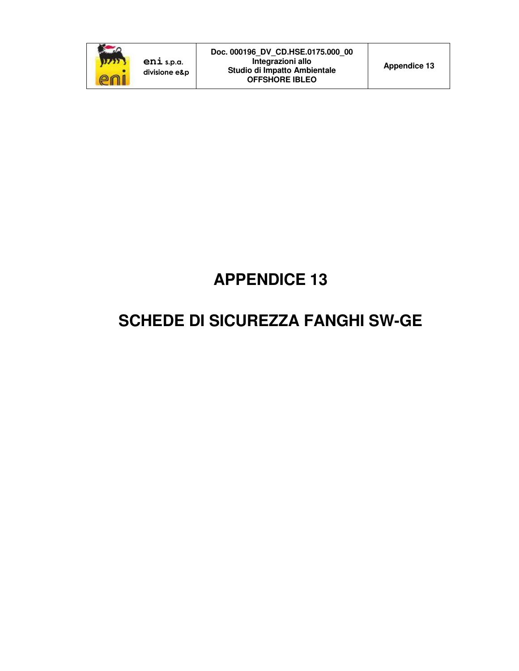

# **APPENDICE 13**

# **SCHEDE DI SICUREZZA FANGHI SW-GE**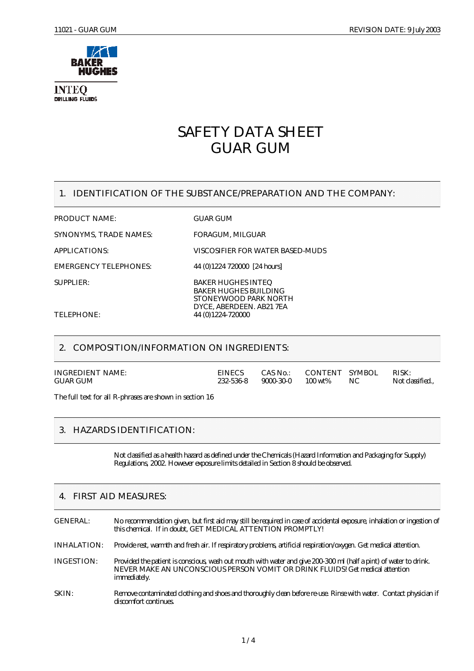

**INTEQ DRILLING FLUIDS** 

## SAFETY DATA SHEET GUAR GUM

## 1. IDENTIFICATION OF THE SUBSTANCE/PREPARATION AND THE COMPANY:

PRODUCT NAME: GUAR GUM

SYNONYMS, TRADE NAMES: FORAGUM, MILGUAR

SUPPLIER: BAKER HUGHES INTEQ

APPLICATIONS: VISCOSIFIER FOR WATER BASED-MUDS

EMERGENCY TELEPHONES: 44 (0)1224 720000 [24 hours]

BAKER HUGHES BUILDING STONEYWOOD PARK NORTH DYCE, ABERDEEN. AB21 7EA

TELEPHONE: 44 (0)1224-720000

## 2. COMPOSITION/INFORMATION ON INGREDIENTS:

| INGREDIENT NAME:<br>GUAR GUM | <b>EINECS</b><br>232-536-8 | $9000 - 30 - 0$ $100 \text{ wt\%}$ | CAS No.: CONTENT SYMBOL | - NC | RISK:<br>Not classified |
|------------------------------|----------------------------|------------------------------------|-------------------------|------|-------------------------|
|------------------------------|----------------------------|------------------------------------|-------------------------|------|-------------------------|

The full text for all R-phrases are shown in section 16

## 3. HAZARDS IDENTIFICATION:

Not classified as a health hazard as defined under the Chemicals (Hazard Information and Packaging for Supply) Regulations, 2002. However exposure limits detailed in Section 8 should be observed.

## 4. FIRST AID MEASURES:

GENERAL: No recommendation given, but first aid may still be required in case of accidental exposure, inhalation or ingestion of this chemical. If in doubt, GET MEDICAL ATTENTION PROMPTLY! INHALATION: Provide rest, warmth and fresh air. If respiratory problems, artificial respiration/oxygen. Get medical attention. INGESTION: Provided the patient is conscious, wash out mouth with water and give 200-300 ml (half a pint) of water to drink. NEVER MAKE AN UNCONSCIOUS PERSON VOMIT OR DRINK FLUIDS! Get medical attention immediately. SKIN: Remove contaminated clothing and shoes and thoroughly clean before re-use. Rinse with water. Contact physician if discomfort continues.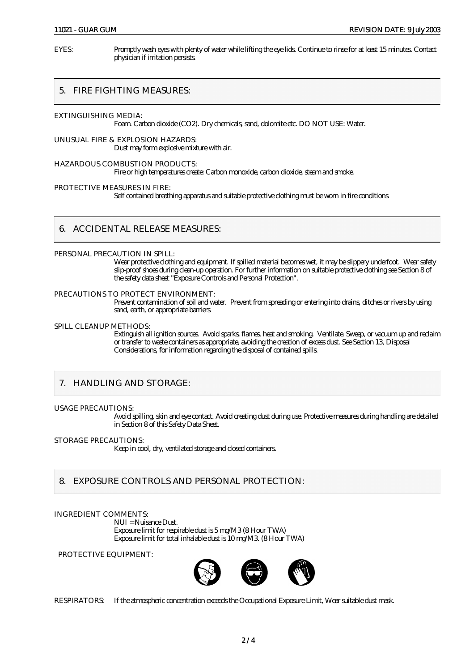EYES: Promptly wash eyes with plenty of water while lifting the eye lids. Continue to rinse for at least 15 minutes. Contact physician if irritation persists.

## 5. FIRE FIGHTING MEASURES:

EXTINGUISHING MEDIA:

Foam. Carbon dioxide (CO2). Dry chemicals, sand, dolomite etc. DO NOT USE: Water.

UNUSUAL FIRE & EXPLOSION HAZARDS: Dust may form explosive mixture with air.

HAZARDOUS COMBUSTION PRODUCTS: Fire or high temperatures create: Carbon monoxide, carbon dioxide, steam and smoke.

PROTECTIVE MEASURES IN FIRE:

Self contained breathing apparatus and suitable protective clothing must be worn in fire conditions.

#### 6. ACCIDENTAL RELEASE MEASURES:

#### PERSONAL PRECAUTION IN SPILL:

Wear protective clothing and equipment. If spilled material becomes wet, it may be slippery underfoot. Wear safety slip-proof shoes during clean-up operation. For further information on suitable protective clothing see Section 8 of the safety data sheet "Exposure Controls and Personal Protection".

#### PRECAUTIONS TO PROTECT ENVIRONMENT:

Prevent contamination of soil and water. Prevent from spreading or entering into drains, ditches or rivers by using sand, earth, or appropriate barriers.

#### SPILL CLEANUP METHODS:

Extinguish all ignition sources. Avoid sparks, flames, heat and smoking. Ventilate. Sweep, or vacuum up and reclaim or transfer to waste containers as appropriate, avoiding the creation of excess dust. See Section 13, Disposal Considerations, for information regarding the disposal of contained spills.

## 7. HANDLING AND STORAGE:

#### USAGE PRECAUTIONS:

Avoid spilling, skin and eye contact. Avoid creating dust during use. Protective measures during handling are detailed in Section 8 of this Safety Data Sheet.

#### STORAGE PRECAUTIONS:

Keep in cool, dry, ventilated storage and closed containers.

## 8. EXPOSURE CONTROLS AND PERSONAL PROTECTION:

#### INGREDIENT COMMENTS:

NUI = Nuisance Dust. Exposure limit for respirable dust is 5 mg/M3 (8 Hour TWA) Exposure limit for total inhalable dust is 10 mg/M3. (8 Hour TWA)

PROTECTIVE EQUIPMENT:



RESPIRATORS: If the atmospheric concentration exceeds the Occupational Exposure Limit, Wear suitable dust mask.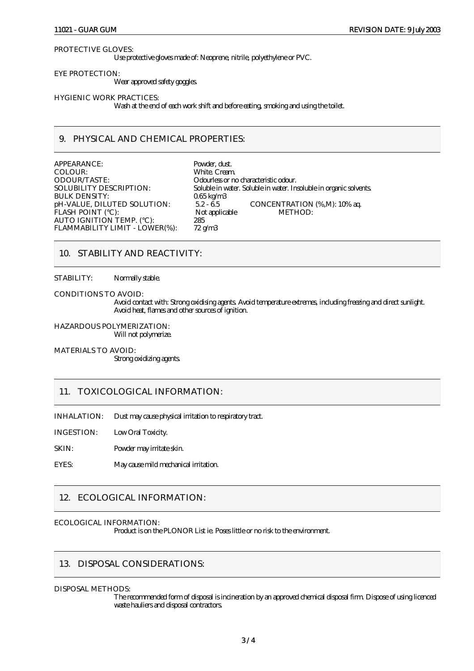#### PROTECTIVE GLOVES:

Use protective gloves made of: Neoprene, nitrile, polyethylene or PVC.

EYE PROTECTION:

Wear approved safety goggles.

HYGIENIC WORK PRACTICES:

Wash at the end of each work shift and before eating, smoking and using the toilet.

## 9. PHYSICAL AND CHEMICAL PROPERTIES:

APPEARANCE:<br>
COLOUR: Powder, dust.<br>
White. Cream COLOUR: White. Cream.<br>
ODOUR/TASTE: COLOUR/TASTE: COLOURS OF D ODOUR/TASTE: Odourless or no characteristic odour. BULK DENSITY: 0.65 kg/m3<br>
pH-VALUE, DILUTED SOLUTION: 5.2 - 6.5 FLASH POINT (°C): Not applicable METHOD: AUTO IGNITION TEMP. (°C): 285 FLAMMABILITY LIMIT - LOWER(%): 72 g/m3

Soluble in water. Soluble in water. Insoluble in organic solvents. pH-VALUE, DILUTED SOLUTION:  $5.2 - 6.5$  CONCENTRATION (%,M): 10% aq.

#### 10. STABILITY AND REACTIVITY:

STABILITY: Normally stable.

CONDITIONS TO AVOID:

Avoid contact with: Strong oxidising agents. Avoid temperature extremes, including freezing and direct sunlight. Avoid heat, flames and other sources of ignition.

HAZARDOUS POLYMERIZATION: Will not polymerize.

MATERIALS TO AVOID: Strong oxidizing agents.

#### 11. TOXICOLOGICAL INFORMATION:

INHALATION: Dust may cause physical irritation to respiratory tract.

INGESTION: Low Oral Toxicity.

SKIN: Powder may irritate skin.

EYES: May cause mild mechanical irritation.

### 12. ECOLOGICAL INFORMATION:

#### ECOLOGICAL INFORMATION:

Product is on the PLONOR List ie. Poses little or no risk to the environment.

## 13. DISPOSAL CONSIDERATIONS:

#### DISPOSAL METHODS:

The recommended form of disposal is incineration by an approved chemical disposal firm. Dispose of using licenced waste hauliers and disposal contractors.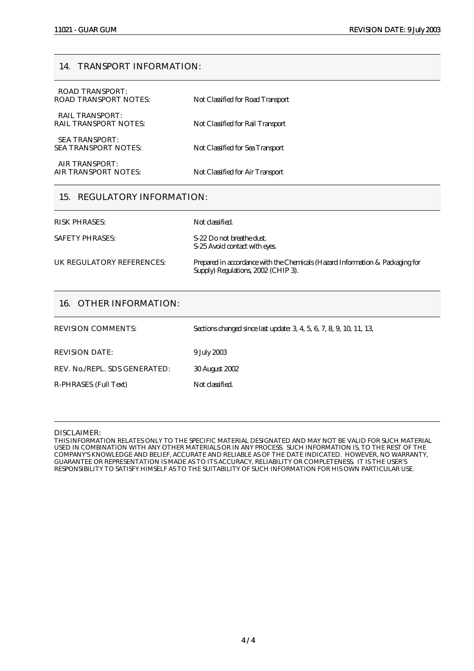#### 14. TRANSPORT INFORMATION:

| 15. REGULATORY INFORMATION:                            |                                   |
|--------------------------------------------------------|-----------------------------------|
| AIR TRANSPORT:<br>AIR TRANSPORT NOTES:                 | Not Classified for Air Transport  |
| <b>SEA TRANSPORT:</b><br>SEA TRANSPORT NOTES:          | Not Classified for Sea Transport  |
| <b>RAIL TRANSPORT:</b><br><b>RAIL TRANSPORT NOTES:</b> | Not Classified for Rail Transport |
| ROAD TRANSPORT:<br>ROAD TRANSPORT NOTES:               | Not Classified for Road Transport |

RISK PHRASES: Not classified.

S-25 Avoid contact with eyes.

SAFETY PHRASES: S-22 Do not breathe dust.

UK REGULATORY REFERENCES: Prepared in accordance with the Chemicals (Hazard Information & Packaging for Supply) Regulations, 2002 (CHIP 3).

## 16. OTHER INFORMATION:

| <b>REVISION COMMENTS:</b>     | Sections changed since last update: 3, 4, 5, 6, 7, 8, 9, 10, 11, 13, |
|-------------------------------|----------------------------------------------------------------------|
| <b>REVISION DATE:</b>         | 9 July 2003                                                          |
| REV. No./REPL. SDS GENERATED: | <b>30 August 2002</b>                                                |
| R-PHRASES (Full Text)         | Not classified.                                                      |
|                               |                                                                      |

#### DISCLAIMER:

THIS INFORMATION RELATES ONLY TO THE SPECIFIC MATERIAL DESIGNATED AND MAY NOT BE VALID FOR SUCH MATERIAL USED IN COMBINATION WITH ANY OTHER MATERIALS OR IN ANY PROCESS. SUCH INFORMATION IS, TO THE REST OF THE COMPANY'S KNOWLEDGE AND BELIEF, ACCURATE AND RELIABLE AS OF THE DATE INDICATED. HOWEVER, NO WARRANTY, GUARANTEE OR REPRESENTATION IS MADE AS TO ITS ACCURACY, RELIABILITY OR COMPLETENESS. IT IS THE USER'S RESPONSIBILITY TO SATISFY HIMSELF AS TO THE SUITABILITY OF SUCH INFORMATION FOR HIS OWN PARTICULAR USE.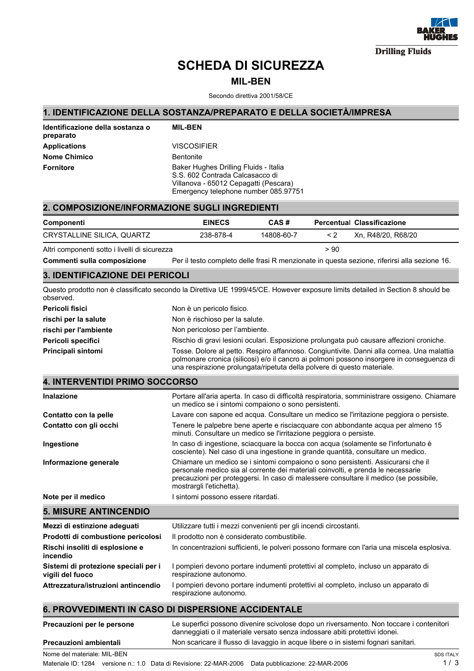

**Drilling Fluids** 

## SCHEDA DI SICUREZZA

## MIL-BEN

Secondo direttiva 2001/58/CE

## 1. IDENTIFICAZIONE DELLA SOSTANZA/PREPARATO E DELLA SOCIETÀ/IMPRESA

| Identificazione della sostanza o<br>preparato | <b>MIL-BEN</b>                                                                                                                                            |
|-----------------------------------------------|-----------------------------------------------------------------------------------------------------------------------------------------------------------|
| <b>Applications</b>                           | <b>VISCOSIFIER</b>                                                                                                                                        |
| <b>Nome Chimico</b>                           | <b>Bentonite</b>                                                                                                                                          |
| <b>Fornitore</b>                              | Baker Hughes Drilling Fluids - Italia<br>S.S. 602 Contrada Calcasacco di<br>Villanova - 65012 Cepagatti (Pescara)<br>Emergency telephone number 085.97751 |

| <b>2. COMPOSIZIONE/INFORMAZIONE SUGLI INGREDIENTI</b> |               |            |          |                                   |
|-------------------------------------------------------|---------------|------------|----------|-----------------------------------|
| Componenti                                            | <b>EINECS</b> | CAS#       |          | <b>Percentual Classificazione</b> |
| CRYSTALLINE SILICA, QUARTZ                            | 238-878-4     | 14808-60-7 | $\leq$ 2 | Xn. R48/20. R68/20                |

Altri componenti sotto i livelli di sicurezza  $> 90$ 

Commenti sulla composizione Per il testo completo delle frasi R menzionate in questa sezione, riferirsi alla sezione 16.

## 3. IDENTIFICAZIONE DEI PERICOLI

Questo prodotto non è classificato secondo la Direttiva UE 1999/45/CE. However exposure limits detailed in Section 8 should be observed.

| Pericoli fisici       | Non è un pericolo fisico.                                                                                                                                                              |
|-----------------------|----------------------------------------------------------------------------------------------------------------------------------------------------------------------------------------|
| rischi per la salute  | Non è rischioso per la salute.                                                                                                                                                         |
| rischi per l'ambiente | Non pericoloso per l'ambiente.                                                                                                                                                         |
| Pericoli specifici    | Rischio di gravi lesioni oculari. Esposizione prolungata può causare affezioni croniche.                                                                                               |
| Principali sintomi    | Tosse. Dolore al petto. Respiro affannoso. Congiuntivite. Danni alla cornea. Una malattia<br>polmonare cronica (silicosi) e/o il cancro ai polmoni possono insorgere in conseguenza di |

una respirazione prolungata/ripetuta della polvere di questo materiale.

## 4. INTERVENTIDI PRIMO SOCCORSO

| Inalazione             | Portare all'aria aperta. In caso di difficoltà respiratoria, somministrare ossigeno. Chiamare<br>un medico se i sintomi compaiono o sono persistenti.                                                                                                                                     |
|------------------------|-------------------------------------------------------------------------------------------------------------------------------------------------------------------------------------------------------------------------------------------------------------------------------------------|
| Contatto con la pelle  | Lavare con sapone ed acqua. Consultare un medico se l'irritazione peggiora o persiste.                                                                                                                                                                                                    |
| Contatto con gli occhi | Tenere le palpebre bene aperte e risciacquare con abbondante acqua per almeno 15<br>minuti. Consultare un medico se l'irritazione peggiora o persiste.                                                                                                                                    |
| Ingestione             | In caso di ingestione, sciacquare la bocca con acqua (solamente se l'infortunato è<br>cosciente). Nel caso di una ingestione in grande quantità, consultare un medico.                                                                                                                    |
| Informazione generale  | Chiamare un medico se i sintomi compaiono o sono persistenti. Assicurarsi che il<br>personale medico sia al corrente dei materiali coinvolti, e prenda le necessarie<br>precauzioni per proteggersi. In caso di malessere consultare il medico (se possibile,<br>mostrargli l'etichetta). |
| Note per il medico     | sintomi possono essere ritardati.                                                                                                                                                                                                                                                         |
|                        |                                                                                                                                                                                                                                                                                           |

| <b>5. MISURE ANTINCENDIO</b>                             |                                                                                                              |
|----------------------------------------------------------|--------------------------------------------------------------------------------------------------------------|
| Mezzi di estinzione adeguati                             | Utilizzare tutti i mezzi convenienti per gli incendi circostanti.                                            |
| Prodotti di combustione pericolosi                       | Il prodotto non è considerato combustibile.                                                                  |
| Rischi insoliti di esplosione e<br>incendio              | In concentrazioni sufficienti, le polveri possono formare con l'aria una miscela esplosiva.                  |
| Sistemi di protezione speciali per i<br>vigili del fuoco | I pompieri devono portare indumenti protettivi al completo, incluso un apparato di<br>respirazione autonomo. |
| Attrezzatura/istruzioni antincendio                      | I pompieri devono portare indumenti protettivi al completo, incluso un apparato di<br>respirazione autonomo. |

## 6. PROVVEDIMENTI IN CASO DI DISPERSIONE ACCIDENTALE

| Precauzioni per le persone  | Le superfici possono divenire scivolose dopo un riversamento. Non toccare i contenitori<br>danneggiati o il materiale versato senza indossare abiti protettivi idonei. |                |
|-----------------------------|------------------------------------------------------------------------------------------------------------------------------------------------------------------------|----------------|
| Precauzioni ambientali      | Non scaricare il flusso di lavaggio in acque libere o in sistemi fognari sanitari.                                                                                     |                |
| Nome del materiale: MIL-BEN |                                                                                                                                                                        | <b>SDS ITA</b> |

Materiale ID: 1284 versione n.: 1.0 Data di Revisione: 22-MAR-2006 Data pubblicazione: 22-MAR-2006 Materiale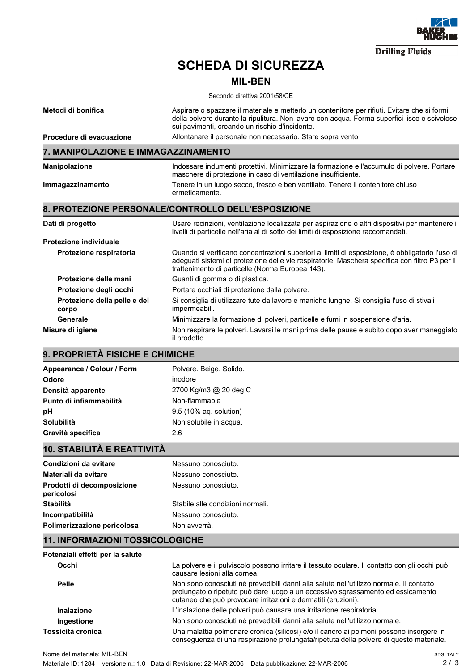

## SCHEDA DI SICUREZZA

## MIL-BEN

Secondo direttiva 2001/58/CE

| Metodi di bonifica                       | Aspirare o spazzare il materiale e metterlo un contenitore per rifiuti. Evitare che si formi<br>della polvere durante la ripulitura. Non lavare con acqua. Forma superfici lisce e scivolose<br>sui pavimenti, creando un rischio d'incidente.        |
|------------------------------------------|-------------------------------------------------------------------------------------------------------------------------------------------------------------------------------------------------------------------------------------------------------|
| Procedure di evacuazione                 | Allontanare il personale non necessario. Stare sopra vento                                                                                                                                                                                            |
| 7. MANIPOLAZIONE E IMMAGAZZINAMENTO      |                                                                                                                                                                                                                                                       |
| Manipolazione                            | Indossare indumenti protettivi. Minimizzare la formazione e l'accumulo di polvere. Portare<br>maschere di protezione in caso di ventilazione insufficiente.                                                                                           |
| Immagazzinamento                         | Tenere in un luogo secco, fresco e ben ventilato. Tenere il contenitore chiuso<br>ermeticamente.                                                                                                                                                      |
|                                          | 8. PROTEZIONE PERSONALE/CONTROLLO DELL'ESPOSIZIONE                                                                                                                                                                                                    |
| Dati di progetto                         | Usare recinzioni, ventilazione localizzata per aspirazione o altri dispositivi per mantenere i<br>livelli di particelle nell'aria al di sotto dei limiti di esposizione raccomandati.                                                                 |
| <b>Protezione individuale</b>            |                                                                                                                                                                                                                                                       |
| Protezione respiratoria                  | Quando si verificano concentrazioni superiori ai limiti di esposizione, è obbligatorio l'uso di<br>adeguati sistemi di protezione delle vie respiratorie. Maschera specifica con filtro P3 per il<br>trattenimento di particelle (Norma Europea 143). |
| Protezione delle mani                    | Guanti di gomma o di plastica.                                                                                                                                                                                                                        |
| Protezione degli occhi                   | Portare occhiali di protezione dalla polvere.                                                                                                                                                                                                         |
| Protezione della pelle e del<br>corpo    | Si consiglia di utilizzare tute da lavoro e maniche lunghe. Si consiglia l'uso di stivali<br>impermeabili.                                                                                                                                            |
| Generale                                 | Minimizzare la formazione di polveri, particelle e fumi in sospensione d'aria.                                                                                                                                                                        |
| Misure di igiene                         | Non respirare le polveri. Lavarsi le mani prima delle pause e subito dopo aver maneggiato<br>il prodotto.                                                                                                                                             |
| 9. PROPRIETÀ FISICHE E CHIMICHE          |                                                                                                                                                                                                                                                       |
| Appearance / Colour / Form               | Polvere. Beige. Solido.                                                                                                                                                                                                                               |
| Odore                                    | inodore                                                                                                                                                                                                                                               |
| Densità apparente                        | 2700 Kg/m3 @ 20 deg C                                                                                                                                                                                                                                 |
| Punto di infiammabilità                  | Non-flammable                                                                                                                                                                                                                                         |
| рH                                       | 9.5 (10% aq. solution)                                                                                                                                                                                                                                |
| Solubilità                               | Non solubile in acqua.                                                                                                                                                                                                                                |
| Gravità specifica                        | 2.6                                                                                                                                                                                                                                                   |
| <b>10. STABILITÀ E REATTIVITÀ</b>        |                                                                                                                                                                                                                                                       |
| Condizioni da evitare                    | Nessuno conosciuto.                                                                                                                                                                                                                                   |
| Materiali da evitare                     | Nessuno conosciuto.                                                                                                                                                                                                                                   |
| Prodotti di decomposizione<br>pericolosi | Nessuno conosciuto.                                                                                                                                                                                                                                   |
| <b>Stabilità</b>                         | Stabile alle condizioni normali.                                                                                                                                                                                                                      |
| <b>Incompatibilità</b>                   | Nessuno conosciuto.                                                                                                                                                                                                                                   |
| Polimerizzazione pericolosa              | Non avverrà.                                                                                                                                                                                                                                          |
| <b>11. INFORMAZIONI TOSSICOLOGICHE</b>   |                                                                                                                                                                                                                                                       |
| Potenziali effetti per la salute         |                                                                                                                                                                                                                                                       |
| Occhi                                    | La polvere e il pulviscolo possono irritare il tessuto oculare. Il contatto con gli occhi può<br>causare lesioni alla cornea.                                                                                                                         |
| <b>Pelle</b>                             | Non sono conosciuti né prevedibili danni alla salute nell'utilizzo normale. Il contatto<br>prolungato o ripetuto può dare luogo a un eccessivo sgrassamento ed essicamento<br>cutaneo che può provocare irritazioni e dermatiti (eruzioni).           |
| <b>Inalazione</b>                        | L'inalazione delle polveri può causare una irritazione respiratoria.                                                                                                                                                                                  |
| Ingestione                               | Non sono conosciuti né prevedibili danni alla salute nell'utilizzo normale.                                                                                                                                                                           |

Una malattia polmonare cronica (silicosi) e/o il cancro ai polmoni possono insorgere in conseguenza di una respirazione prolungata/ripetuta della polvere di questo materiale.

Nome del materiale: MIL-BEN

Tossicità cronica